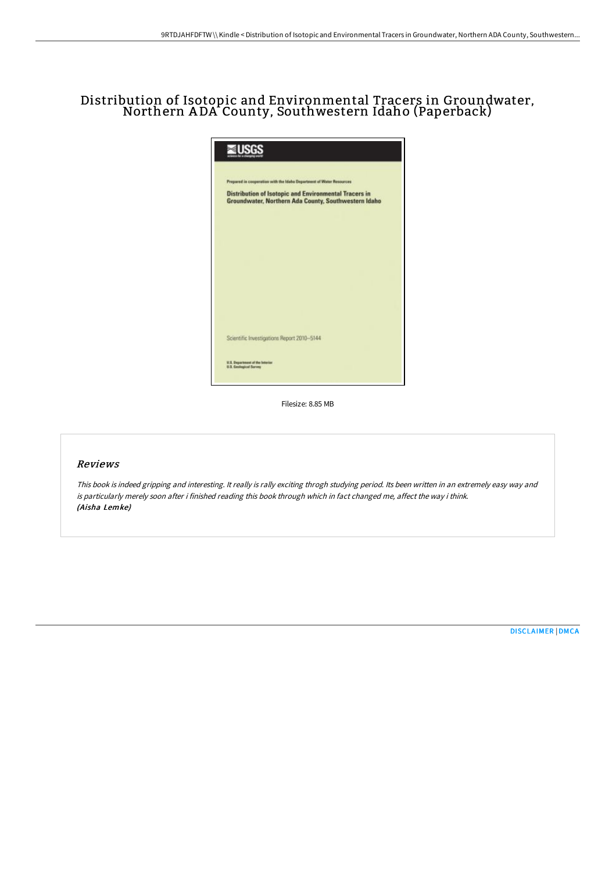# Distribution of Isotopic and Environmental Tracers in Groundwater, Northern <sup>A</sup> DA County, Southwestern Idaho (Paperback)

| Prepared in cooperation with the Idaho Department of Water Resources                                                 |
|----------------------------------------------------------------------------------------------------------------------|
| <b>Distribution of Isotopic and Environmental Tracers in</b><br>Groundwater, Northern Ada County, Southwestern Idaho |
|                                                                                                                      |
|                                                                                                                      |
|                                                                                                                      |
|                                                                                                                      |
| Scientific Investigations Report 2010-5144                                                                           |
| U.S. Department of the fateriar<br>U.S. Geological Survey                                                            |

Filesize: 8.85 MB

## Reviews

This book is indeed gripping and interesting. It really is rally exciting throgh studying period. Its been written in an extremely easy way and is particularly merely soon after i finished reading this book through which in fact changed me, affect the way i think. (Aisha Lemke)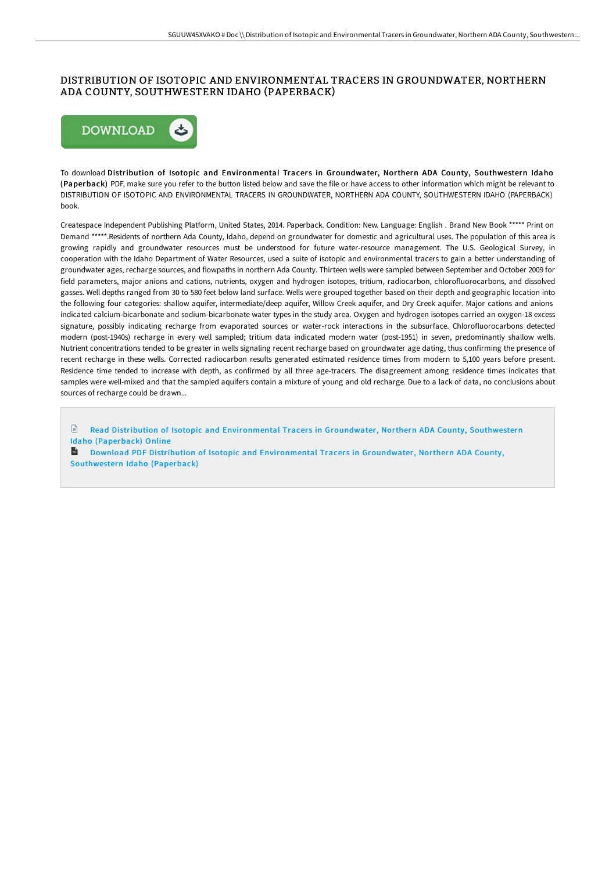## DISTRIBUTION OF ISOTOPIC AND ENVIRONMENTAL TRACERS IN GROUNDWATER, NORTHERN ADA COUNTY, SOUTHWESTERN IDAHO (PAPERBACK)



To download Distribution of Isotopic and Environmental Tracers in Groundwater, Northern ADA County, Southwestern Idaho (Paperback) PDF, make sure you refer to the button listed below and save the file or have access to other information which might be relevant to DISTRIBUTION OF ISOTOPIC AND ENVIRONMENTAL TRACERS IN GROUNDWATER, NORTHERN ADA COUNTY, SOUTHWESTERN IDAHO (PAPERBACK) book.

Createspace Independent Publishing Platform, United States, 2014. Paperback. Condition: New. Language: English . Brand New Book \*\*\*\*\* Print on Demand \*\*\*\*\*.Residents of northern Ada County, Idaho, depend on groundwater for domestic and agricultural uses. The population of this area is growing rapidly and groundwater resources must be understood for future water-resource management. The U.S. Geological Survey, in cooperation with the Idaho Department of Water Resources, used a suite of isotopic and environmental tracers to gain a better understanding of groundwater ages, recharge sources, and flowpaths in northern Ada County. Thirteen wells were sampled between September and October 2009 for field parameters, major anions and cations, nutrients, oxygen and hydrogen isotopes, tritium, radiocarbon, chlorofluorocarbons, and dissolved gasses. Well depths ranged from 30 to 580 feet below land surface. Wells were grouped together based on their depth and geographic location into the following four categories: shallow aquifer, intermediate/deep aquifer, Willow Creek aquifer, and Dry Creek aquifer. Major cations and anions indicated calcium-bicarbonate and sodium-bicarbonate water types in the study area. Oxygen and hydrogen isotopes carried an oxygen-18 excess signature, possibly indicating recharge from evaporated sources or water-rock interactions in the subsurface. Chlorofluorocarbons detected modern (post-1940s) recharge in every well sampled; tritium data indicated modern water (post-1951) in seven, predominantly shallow wells. Nutrient concentrations tended to be greater in wells signaling recent recharge based on groundwater age dating, thus confirming the presence of recent recharge in these wells. Corrected radiocarbon results generated estimated residence times from modern to 5,100 years before present. Residence time tended to increase with depth, as confirmed by all three age-tracers. The disagreement among residence times indicates that samples were well-mixed and that the sampled aquifers contain a mixture of young and old recharge. Due to a lack of data, no conclusions about sources of recharge could be drawn...

 $\mathbb{B}$ Read Distribution of Isotopic and [Environmental](http://www.bookdirs.com/distribution-of-isotopic-and-environmental-trace.html) Tracers in Groundwater, Northern ADA County, Southwestern Idaho (Paperback) Online  $\mathbf{r}$ 

Download PDF Distribution of Isotopic and [Environmental](http://www.bookdirs.com/distribution-of-isotopic-and-environmental-trace.html) Tracers in Groundwater, Northern ADA County, Southwestern Idaho (Paperback)